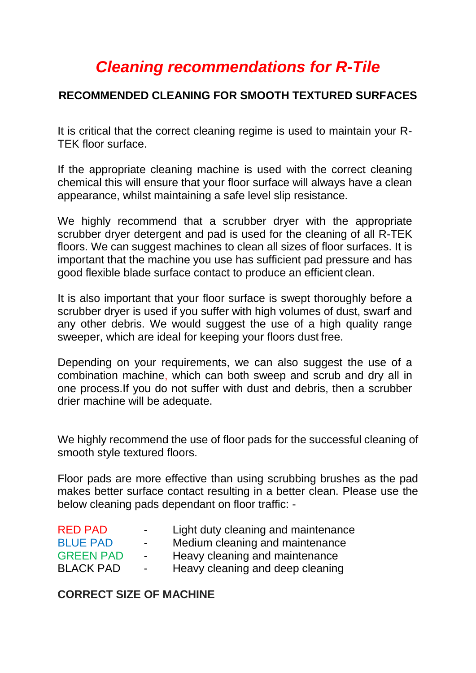# *Cleaning recommendations for R-Tile*

## **RECOMMENDED CLEANING FOR SMOOTH TEXTURED SURFACES**

It is critical that the correct cleaning regime is used to maintain your R-TEK floor surface.

If the appropriate cleaning machine is used with the correct cleaning chemical this will ensure that your floor surface will always have a clean appearance, whilst maintaining a safe level slip resistance.

We highly recommend that a scrubber dryer with the appropriate scrubber dryer detergent and pad is used for the cleaning of all R-TEK floors. We can suggest machines to clean all sizes of floor surfaces. It is important that the machine you use has sufficient pad pressure and has good flexible blade surface contact to produce an efficient clean.

It is also important that your floor surface is swept thoroughly before a scrubber dryer is used if you suffer with high volumes of dust, swarf and any other debris. We would suggest the use of a high quality range sweeper, which are ideal for keeping your floors dust free.

Depending on your requirements, we can also suggest the use of a combination machine, which can both sweep and scrub and dry all in one process.If you do not suffer with dust and debris, then a scrubber drier machine will be adequate.

We highly recommend the use of floor pads for the successful cleaning of smooth style textured floors.

Floor pads are more effective than using scrubbing brushes as the pad makes better surface contact resulting in a better clean. Please use the below cleaning pads dependant on floor traffic: -

| <b>RED PAD</b>   | $\sim$ | Light duty cleaning and maintenance |
|------------------|--------|-------------------------------------|
| <b>BLUE PAD</b>  | $\sim$ | Medium cleaning and maintenance     |
| <b>GREEN PAD</b> | $\sim$ | Heavy cleaning and maintenance      |
| <b>BLACK PAD</b> | $\sim$ | Heavy cleaning and deep cleaning    |

#### **CORRECT SIZE OF MACHINE**